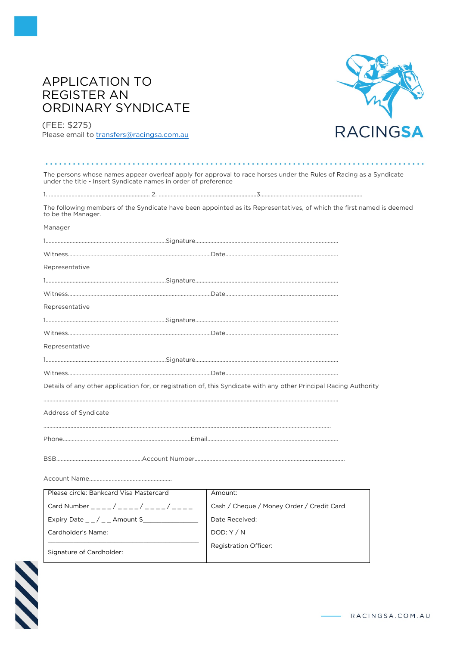# **APPLICATION TO REGISTER AN** ORDINARY SYNDICATE



(FEE: \$275)

Please email to transfers@racingsa.com.au

| The persons whose names appear overleaf apply for approval to race horses under the Rules of Racing as a Syndicate<br>under the title - Insert Syndicate names in order of preference |                                                                                                                       |  |  |
|---------------------------------------------------------------------------------------------------------------------------------------------------------------------------------------|-----------------------------------------------------------------------------------------------------------------------|--|--|
|                                                                                                                                                                                       |                                                                                                                       |  |  |
| to be the Manager.                                                                                                                                                                    | The following members of the Syndicate have been appointed as its Representatives, of which the first named is deemed |  |  |
| Manager                                                                                                                                                                               |                                                                                                                       |  |  |
|                                                                                                                                                                                       |                                                                                                                       |  |  |
|                                                                                                                                                                                       |                                                                                                                       |  |  |
| Representative                                                                                                                                                                        |                                                                                                                       |  |  |
|                                                                                                                                                                                       |                                                                                                                       |  |  |
|                                                                                                                                                                                       |                                                                                                                       |  |  |
| Representative                                                                                                                                                                        |                                                                                                                       |  |  |
|                                                                                                                                                                                       |                                                                                                                       |  |  |
|                                                                                                                                                                                       |                                                                                                                       |  |  |
| Representative                                                                                                                                                                        |                                                                                                                       |  |  |
|                                                                                                                                                                                       |                                                                                                                       |  |  |
|                                                                                                                                                                                       |                                                                                                                       |  |  |
|                                                                                                                                                                                       | Details of any other application for, or registration of, this Syndicate with any other Principal Racing Authority    |  |  |
| Address of Syndicate                                                                                                                                                                  |                                                                                                                       |  |  |
|                                                                                                                                                                                       |                                                                                                                       |  |  |
|                                                                                                                                                                                       |                                                                                                                       |  |  |
|                                                                                                                                                                                       |                                                                                                                       |  |  |
| Please circle: Bankcard Visa Mastercard                                                                                                                                               | Amount:                                                                                                               |  |  |
| Card Number ____/ ____/ ____/ ____/                                                                                                                                                   | Cash / Cheque / Money Order / Credit Card                                                                             |  |  |
| Expiry Date $_{--}/_{--}$ Amount \$                                                                                                                                                   | Date Received:                                                                                                        |  |  |
| Cardholder's Name:                                                                                                                                                                    | DOD: Y/N                                                                                                              |  |  |
| Signature of Cardholder:                                                                                                                                                              | <b>Registration Officer:</b>                                                                                          |  |  |

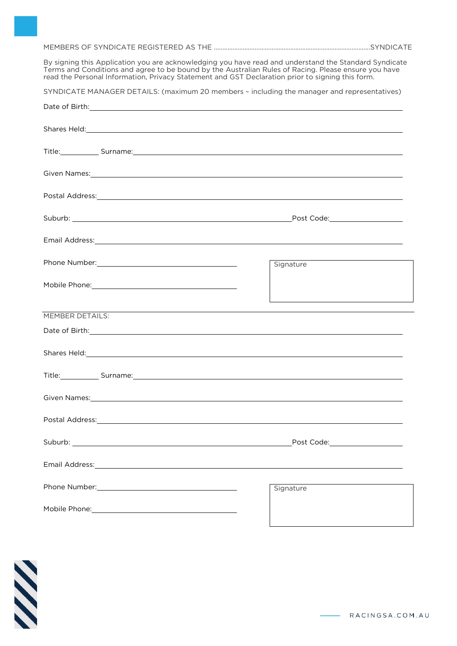MEMBERS OF SYNDICATE REGISTERED AS THE ............................................................................................SYNDICATE

By signing this Application you are acknowledging you have read and understand the Standard Syndicate Terms and Conditions and agree to be bound by the Australian Rules of Racing. Please ensure you have read the Personal Information, Privacy Statement and GST Declaration prior to signing this form.

SYNDICATE MANAGER DETAILS: (maximum 20 members – including the manager and representatives)

| Date of Birth: <u>contract and a series of Birth and a series of Birth and a series of Birth and a series of Birth</u>                                                                                                               |            |
|--------------------------------------------------------------------------------------------------------------------------------------------------------------------------------------------------------------------------------------|------------|
|                                                                                                                                                                                                                                      |            |
| Title: Surname: Surname: Surname: Surname: Surname: Surname: Surname: Surname: Surname: Surname: Surname: Surname: Surname: Surname: Surname: Surname: Surname: Surname: Surname: Surname: Surname: Surname: Surname: Surname:       |            |
| Given Names: Names: Names: Names: Names: Names: Names: Names: Names: Names: Names: Names: Names: Names: Names: Names: Names: Names: Names: Names: Names: Names: Names: Names: Names: Names: Names: Names: Names: Names: Names:       |            |
|                                                                                                                                                                                                                                      |            |
|                                                                                                                                                                                                                                      |            |
| Email Address: No. 2008. The Company of the Company of the Company of the Company of the Company of the Company of the Company of the Company of the Company of the Company of the Company of the Company of the Company of th       |            |
|                                                                                                                                                                                                                                      | Signature  |
|                                                                                                                                                                                                                                      |            |
| MEMBER DETAILS:<br>MEMBER DETAILS:                                                                                                                                                                                                   |            |
| Date of Birth: <u>contract and a series of Birth and a series of Birth and a series of Birth:</u>                                                                                                                                    |            |
| Shares Held: <u>Alexander Alexander Alexander Alexander Alexander Alexander Alexander Alexander Alexander Alexander Alexander Alexander Alexander Alexander Alexander Alexander Alexander Alexander Alexander Alexander Alexande</u> |            |
| Title: Surname: Surname: Surname: Surname: Surname: Surname: Surname: Surname: Surname: Surname: Surname: Surname: Surname: Surname: Surname: Surname: Surname: Surname: Surname: Surname: Surname: Surname: Surname: Surname:       |            |
| Given Names: and the contract of the contract of the contract of the contract of the contract of the contract of the contract of the contract of the contract of the contract of the contract of the contract of the contract        |            |
|                                                                                                                                                                                                                                      |            |
| Suburb: ________                                                                                                                                                                                                                     | Post Code: |
| Email Address: 1999 - 1999 - 1999 - 1999 - 1999 - 1999 - 1999 - 1999 - 1999 - 1999 - 1999 - 1999 - 1999 - 199                                                                                                                        |            |
|                                                                                                                                                                                                                                      | Signature  |
|                                                                                                                                                                                                                                      |            |

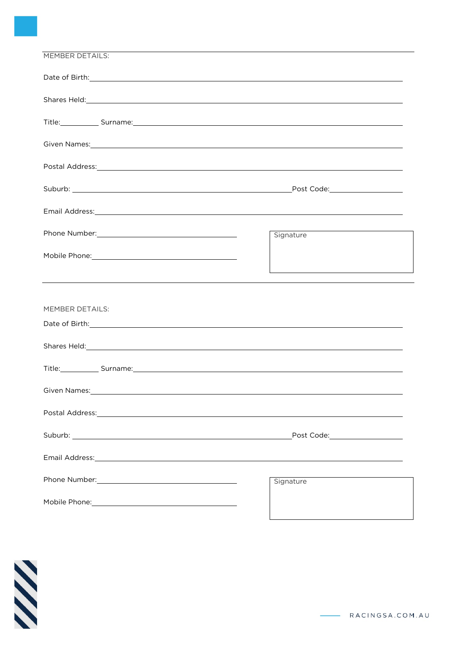| Date of Birth: <u>contract and a series of Birth and a series of Birth and a series of Birth and a series of Birth</u>                                                                                                               |                                |  |  |
|--------------------------------------------------------------------------------------------------------------------------------------------------------------------------------------------------------------------------------------|--------------------------------|--|--|
| Shares Held: <b>Shares Held: Shares Held: Shares Held: Shares Held: Shares Held: Shares Held: Shares Held: Shares Held: Shares Held: Shares Held: Shares Held: Shares Held: Shares Held: Shares Held:</b>                            |                                |  |  |
|                                                                                                                                                                                                                                      |                                |  |  |
| Title: Surname: Surname: Surname: Surname: Surname: Surname: Surname: Surname: Surname: Surname: Surname: Surname: Surname: Surname: Surname: Surname: Surname: Surname: Surname: Surname: Surname: Surname: Surname: Surname:       |                                |  |  |
|                                                                                                                                                                                                                                      |                                |  |  |
|                                                                                                                                                                                                                                      |                                |  |  |
|                                                                                                                                                                                                                                      |                                |  |  |
|                                                                                                                                                                                                                                      |                                |  |  |
| Email Address: Note and the set of the set of the set of the set of the set of the set of the set of the set of the set of the set of the set of the set of the set of the set of the set of the set of the set of the set of        |                                |  |  |
| Phone Number: Note and the series of the series of the series of the series of the series of the series of the                                                                                                                       | Signature                      |  |  |
|                                                                                                                                                                                                                                      |                                |  |  |
|                                                                                                                                                                                                                                      |                                |  |  |
| and the control of the control of the control of the control of the control of the control of the control of the                                                                                                                     |                                |  |  |
|                                                                                                                                                                                                                                      |                                |  |  |
| <b>MEMBER DETAILS:</b>                                                                                                                                                                                                               |                                |  |  |
|                                                                                                                                                                                                                                      |                                |  |  |
|                                                                                                                                                                                                                                      |                                |  |  |
|                                                                                                                                                                                                                                      |                                |  |  |
| Title: Surname: Surname: Surname: Surname: Surname: Surname: Surname: Surname: Surname: Surname: Surname: Surname: Surname: Surname: Surname: Surname: Surname: Surname: Surname: Surname: Surname: Surname: Surname: Surname:       |                                |  |  |
| Given Names: <u>example and a series of the series of the series of the series of the series of the series of the series of the series of the series of the series of the series of the series of the series of the series of th</u> |                                |  |  |
| Postal Address: North American Contract of Address and Address and Address and Address and Address and Address                                                                                                                       |                                |  |  |
|                                                                                                                                                                                                                                      |                                |  |  |
| Suburb: <u>www.common.com/www.common.com/www.common.com/www.common.com/www.common.com/www.com</u>                                                                                                                                    | Post Code: ___________________ |  |  |
| Email Address: Note and the set of the set of the set of the set of the set of the set of the set of the set of the set of the set of the set of the set of the set of the set of the set of the set of the set of the set of        |                                |  |  |
|                                                                                                                                                                                                                                      |                                |  |  |
|                                                                                                                                                                                                                                      | Signature                      |  |  |
|                                                                                                                                                                                                                                      |                                |  |  |
|                                                                                                                                                                                                                                      |                                |  |  |



RACINGSA.COM.AU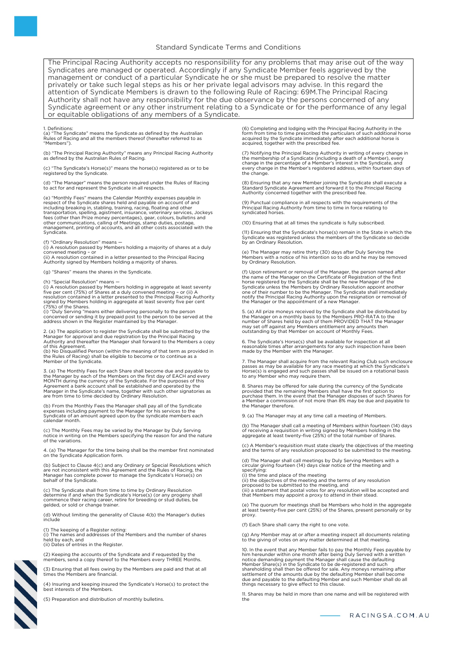The Principal Racing Authority accepts no responsibility for any problems that may arise out of the way Syndicates are managed or operated. Accordingly if any Syndicate Member feels aggrieved by the management or conduct of a particular Syndicate he or she must be prepared to resolve the matter privately or take such legal steps as his or her private legal advisors may advise. In this regard the attention of Syndicate Members is drawn to the following Rule of Racing: 69M.The Principal Racing Authority shall not have any responsibility for the due observance by the persons concerned of any Syndicate agreement or any other instrument relating to a Syndicate or for the performance of any legal or equitable obligations of any members of a Syndicate.

1. Definitions: (a) "The Syndicate" means the Syndicate as defined by the Australian Rules of Racing and all the members thereof (hereafter referred to as "Members").

(b) "The Principal Racing Authority" means any Principal Racing Authority as defined by the Australian Rules of Racing.

(c) "The Syndicate's Horse(s)" means the horse(s) registered as or to be registered by the Syndicate.

(d) "The Manager" means the person required under the Rules of Racing to act for and represent the Syndicate in all respects.

(e) "Monthly Fees" means the Calendar Monthly expenses payable in respect of the Syndicate shares held and payable on account of and including breaking in, stabling, training, racing, floating and other<br>transportation, spelling, agistment, insurance, veterinary services, Jockeys<br>fees (other than Prize money percentages), gear, colours, bulletins and<br>oth management, printing of accounts, and all other costs associated with the Syndicate.

# (f) "Ordinary Resolution" means —

(i) Ordinary Resolution Thealts<br>(i) A resolution passed by Members holding a majority of shares at a duly convened meeting – or (ii) A resolution contained in a letter presented to the Principal Racing

Authority signed by Members holding a majority of shares.

(g) "Shares" means the shares in the Syndicate.

(h) "Special Resolution" means —<br>(i) A resolution passed by Members holding in aggregate at least seventy<br>five per cent (75%) of Shares at a duly convened meeting – or (ii) A<br>resolution contained in a letter presented to t

(i) "Duly Serving "means either delivering personally to the person concerned or sending it by prepaid post to the person to be served at the address shown in the Register maintained by the Manager.

2. (a) The application to register the Syndicate shall be submitted by the Manager for approval and due registration by the Principal Racing

Authority and thereafter the Manager shall forward to the Members a copy<br>of this Agreement.<br>(b) No Disqualified Person (within the meaning of that term as provided in<br>the Rules of Racing) shall be eligible to become or to Member of the Syndicate.

3. (a) The Monthly Fees for each Share shall become due and payable to the Manager by each of the Members on the first day of EACH and every<br>MONTH during the currency of the Syndicate. For the purposes of this<br>Agreement a bank account shall be established and operated by the Manager in the Syndicate's name, together with such other signatories as are from time to time decided by Ordinary Resolution.

(b) From the Monthly Fees the Manager shall pay all of the Syndicate expenses including payment to the Manager for his services to the Syndicate of an amount agreed upon by the syndicate members each calendar month.

(c) The Monthly Fees may be varied by the Manager by Duly Serving notice in writing on the Members specifying the reason for and the nature of the variations.

4. (a) The Manager for the time being shall be the member first nominated on the Syndicate Application form.

(b) Subject to Clause 4(c) and any Ordinary or Special Resolutions which are not inconsistent with this Agreement and the Rules of Racing, the Manager has complete power to manage the Syndicate's Horse(s) on behalf of the Syndicate.

(c) The Syndicate shall from time to time by Ordinary Resolution determine if and when the Syndicate's Horse(s) (or any progeny shall commence their racing career, retire for breeding or stud duties, be gelded, or sold or change trainer.

(d) Without limiting the generality of Clause 4(b) the Manager's duties include

(1) The keeping of a Register noting: (i) The names and addresses of the Members and the number of shares held by each, and (ii) Dates of entries in the Register.

(2) Keeping the accounts of the Syndicate and if requested by the members, send a copy thereof to the Members every THREE Months.

(3) Ensuring that all fees owing by the Members are paid and that at all times the Members are financial.

(4) Insuring and keeping insured the Syndicate's Horse(s) to protect the best interests of the Members.

(5) Preparation and distribution of monthly bulletins.

(6) Completing and lodging with the Principal Racing Authority in the<br>form from time to time prescribed the particulars of such additional horse<br>acquired by the Syndicate immediately after each additional horse is<br>acquired

(7) Notifying the Principal Racing Authority in writing of every change in the membership of a Syndicate (including a death of a Member), every<br>change in the percentage of a Member's interest in the Syndicate, and<br>every change in the Member's registered address, within fourteen days of the change.

(8) Ensuring that any new Member joining the Syndicate shall execute a Standard Syndicate Agreement and forward it to the Principal Racing Authority concerned together with the prescribed fee.

(9) Punctual compliance in all respects with the requirements of the Principal Racing Authority from time to time in force relating to syndicated horses.

(10) Ensuring that at all times the syndicate is fully subscribed.

(11) Ensuring that the Syndicate's horse(s) remain in the State in which the Syndicate was registered unless the members of the Syndicate so decide by an Ordinary Resolution.

(e) The Manager may retire thirty (30) days after Duly Serving the Members with a notice of his intention so to do and he may be removed by Ordinary Resolution.

(f) Upon retirement or removal of the Manager, the person named after the name of the Manager on the Certificate of Registration of the first<br>horse registered by the Syndicate shall be the new Manager of the<br>Syndicate unless the Members by Ordinary Resolution appoint another<br>one of their num the Manager or the appointment of a new Manager.

5. (a) All prize moneys received by the Syndicate shall be distributed by the Manager on a monthly basis to the Members PRO-RATA to the number of Shares held by each of them PROVIDED THAT the Manager may set off against any Members entitlement any amounts then outstanding by that Member on account of Monthly Fees.

6. The Syndicate's Horse(s) shall be available for inspection at all reasonable times after arrangements for any such inspection have been made by the Member with the Manager.

7. The Manager shall acquire from the relevant Racing Club such enclosure passes as may be available for any race meeting at which the Syndicate's Horse(s) is engaged and such passes shall be issued on a rotational basis to any Member who may require them.

8. Shares may be offered for sale during the currency of the Syndicate provided that the remaining Members shall have the first option to<br>purchase them. In the event that the Manager disposes of such Shares for<br>a Member a commission of not more than 8% may be due and payable to the Manager therefore.

9. (a) The Manager may at any time call a meeting of Members.

(b) The Manager shall call a meeting of Members within fourteen (14) days of receiving a requisition in writing signed by Members holding in the aggregate at least twenty-five (25%) of the total number of Shares.

(c) A Member's requisition must state clearly the objectives of the meeting and the terms of any resolution proposed to be submitted to the meeting.

(d) The Manager shall call meetings by Duly Serving Members with a circular giving fourteen (14) days clear notice of the meeting and specifying:

(i) the time and place of the meeting<br>(ii) the objectives of the meeting and the terms of any resolution<br>proposed to be submitted to the meeting, and<br>(iii) a statement that postal votes for any resolution will be accepted

(e) The quorum for meetings shall be Members who hold in the aggregate at least twenty-five per cent (25%) of the Shares, present personally or by proxy.

(f) Each Share shall carry the right to one vote.

(g) Any Member may at or after a meeting inspect all documents relating to the giving of votes on any matter determined at that meeting.

10. In the event that any Member fails to pay the Monthly Fees payable by him hereunder within one month after being Duly Served with a written<br>notice demanding payment the Manager shall cause the defaulting<br>Member Share(s) in the Syndicate to be de-registered and such shareholding shall then be offered for sale. Any moneys remaining after<br>settlement of the amounts due by the defaulting Member shall become<br>due and payable to the defaulting Member and such Member shall do all things necessary to give effect to this clause.

11. Shares may be held in more than one name and will be registered with the